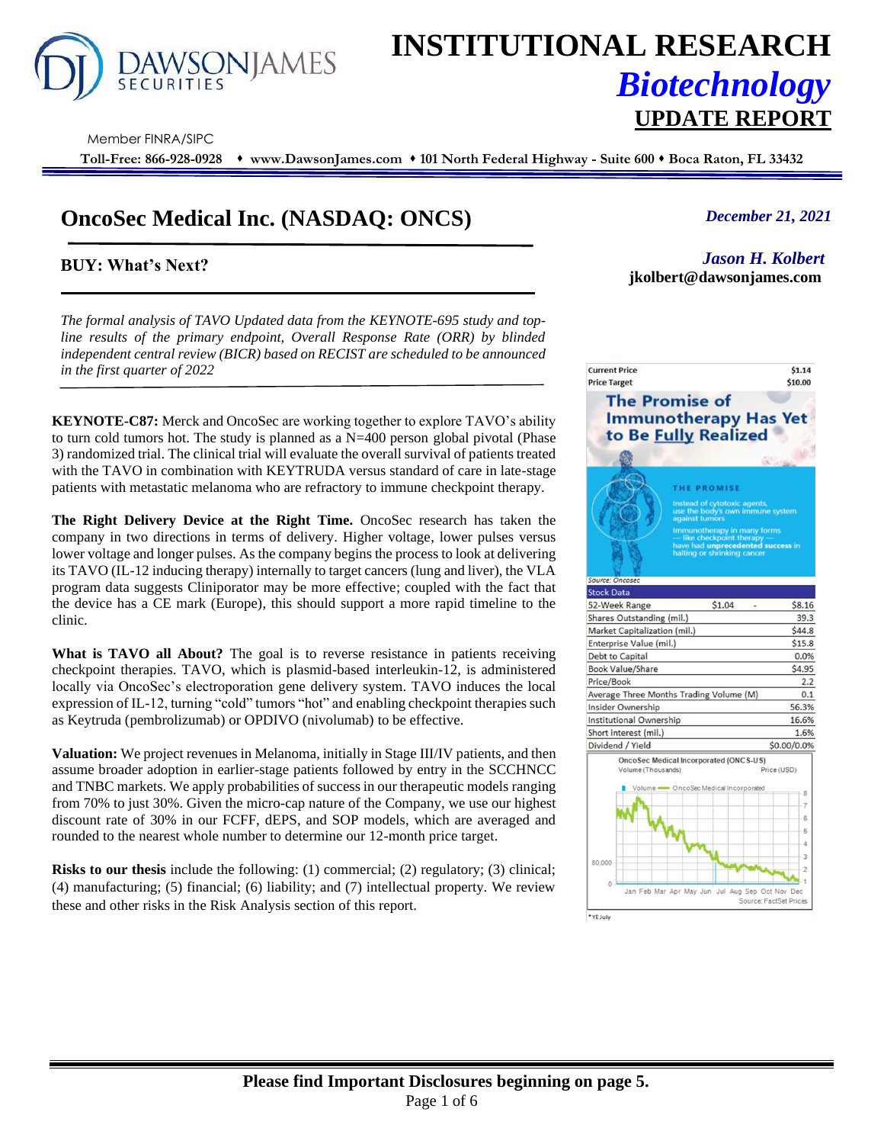

# **INSTITUTIONAL RESEARCH** *Biotechnology* **UPDATE REPORT**

Member FINRA/SIPC

**Toll-Free: 866-928-0928** ⬧ **www.DawsonJames.com** ⬧ **101 North Federal Highway - Suite 600** ⬧ **Boca Raton, FL 33432**

# **OncoSec Medical Inc. (NASDAQ: ONCS)**

## **BUY: What's Next?**

*The formal analysis of TAVO Updated data from the KEYNOTE-695 study and topline results of the primary endpoint, Overall Response Rate (ORR) by blinded independent central review (BICR) based on RECIST are scheduled to be announced in the first quarter of 2022*

**KEYNOTE-C87:** Merck and OncoSec are working together to explore TAVO's ability to turn cold tumors hot. The study is planned as a  $N=400$  person global pivotal (Phase 3) randomized trial. The clinical trial will evaluate the overall survival of patients treated with the TAVO in combination with KEYTRUDA versus standard of care in late-stage patients with metastatic melanoma who are refractory to immune checkpoint therapy.

**The Right Delivery Device at the Right Time.** OncoSec research has taken the company in two directions in terms of delivery. Higher voltage, lower pulses versus lower voltage and longer pulses. As the company begins the process to look at delivering its TAVO (IL-12 inducing therapy) internally to target cancers (lung and liver), the VLA program data suggests Cliniporator may be more effective; coupled with the fact that the device has a CE mark (Europe), this should support a more rapid timeline to the clinic.

**What is TAVO all About?** The goal is to reverse resistance in patients receiving checkpoint therapies. TAVO, which is plasmid-based interleukin-12, is administered locally via OncoSec's electroporation gene delivery system. TAVO induces the local expression of IL-12, turning "cold" tumors "hot" and enabling checkpoint therapies such as Keytruda (pembrolizumab) or OPDIVO (nivolumab) to be effective.

**Valuation:** We project revenues in Melanoma, initially in Stage III/IV patients, and then assume broader adoption in earlier-stage patients followed by entry in the SCCHNCC and TNBC markets. We apply probabilities of success in our therapeutic models ranging from 70% to just 30%. Given the micro-cap nature of the Company, we use our highest discount rate of 30% in our FCFF, dEPS, and SOP models, which are averaged and rounded to the nearest whole number to determine our 12-month price target.

**Risks to our thesis** include the following: (1) commercial; (2) regulatory; (3) clinical; (4) manufacturing; (5) financial; (6) liability; and (7) intellectual property. We review these and other risks in the Risk Analysis section of this report.

### *December 21, 2021*

*Jason H. Kolbert*  **jkolbert@dawsonjames.com**

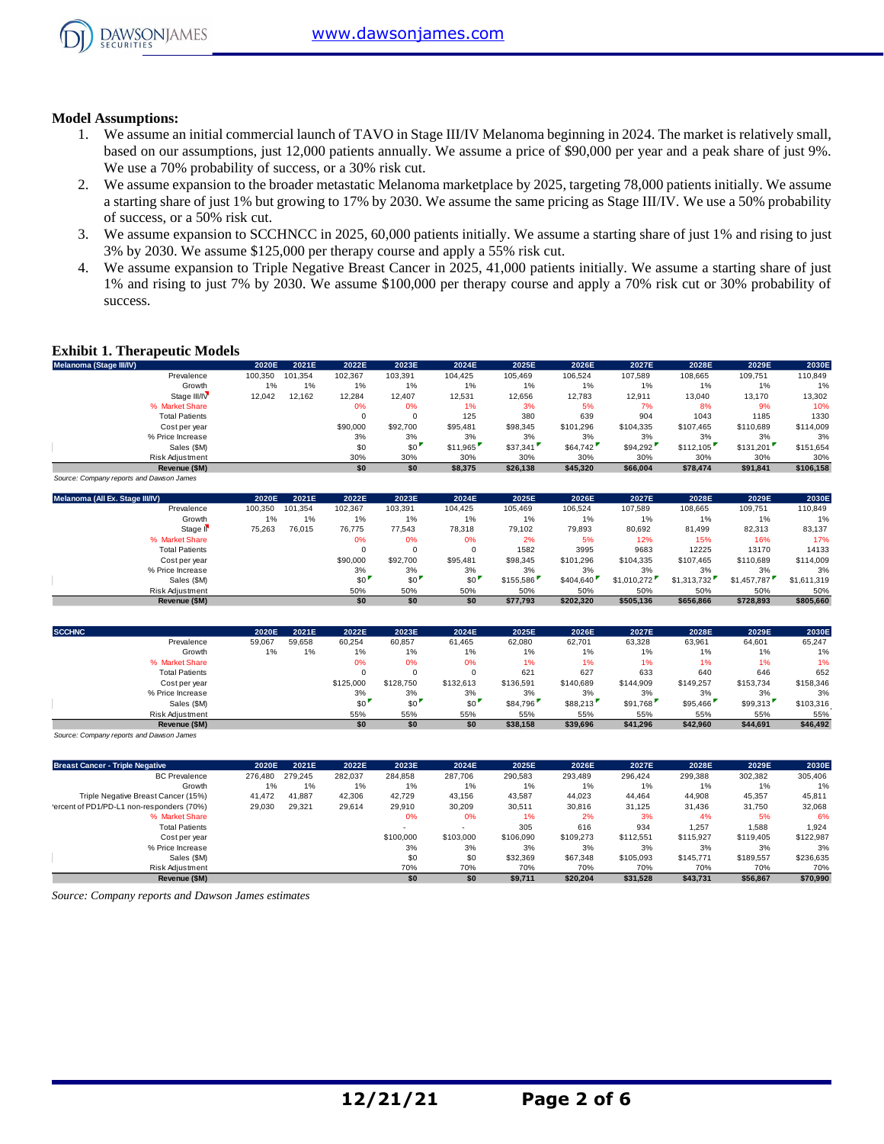

#### **Model Assumptions:**

- 1. We assume an initial commercial launch of TAVO in Stage III/IV Melanoma beginning in 2024. The market is relatively small, based on our assumptions, just 12,000 patients annually. We assume a price of \$90,000 per year and a peak share of just 9%. We use a 70% probability of success, or a 30% risk cut.
- 2. We assume expansion to the broader metastatic Melanoma marketplace by 2025, targeting 78,000 patients initially. We assume a starting share of just 1% but growing to 17% by 2030. We assume the same pricing as Stage III/IV. We use a 50% probability of success, or a 50% risk cut.
- 3. We assume expansion to SCCHNCC in 2025, 60,000 patients initially. We assume a starting share of just 1% and rising to just 3% by 2030. We assume \$125,000 per therapy course and apply a 55% risk cut.
- 4. We assume expansion to Triple Negative Breast Cancer in 2025, 41,000 patients initially. We assume a starting share of just 1% and rising to just 7% by 2030. We assume \$100,000 per therapy course and apply a 70% risk cut or 30% probability of success.

#### **Exhibit 1. Therapeutic Models**

| Melanoma (Stage III/IV)                  | 2020E   | 2021E   | 2022E    | 2023E    | 2024E    | 2025E    | 2026E     | 2027E     | 2028E     | 2029E     | 2030E     |
|------------------------------------------|---------|---------|----------|----------|----------|----------|-----------|-----------|-----------|-----------|-----------|
| Prevalence                               | 100.350 | 101.354 | 102.367  | 103,391  | 104.425  | 105.469  | 106.524   | 107.589   | 108,665   | 109,751   | 110,849   |
| Growth                                   | $1\%$   | 1%      | 1%       | 1%       | 1%       | 1%       | 1%        | 1%        | 1%        | 1%        | 1%        |
| Stage III/IV                             | 12,042  | 12.162  | 12,284   | 12.407   | 12,531   | 12,656   | 12,783    | 12.911    | 13.040    | 13,170    | 13,302    |
| % Market Share                           |         |         | 0%       | 0%       | 1%       | 3%       | 5%        | 7%        | 8%        | 9%        | 10%       |
| <b>Total Patients</b>                    |         |         | 0        |          | 125      | 380      | 639       | 904       | 1043      | 1185      | 1330      |
| Cost per year                            |         |         | \$90,000 | \$92,700 | \$95,481 | \$98,345 | \$101.296 | \$104,335 | \$107,465 | \$110,689 | \$114,009 |
| % Price Increase                         |         |         | 3%       | 3%       | 3%       | 3%       | 3%        | 3%        | 3%        | 3%        | 3%        |
| Sales (\$M)                              |         |         | \$0      | \$0      | \$11.965 | \$37,341 | \$64,742  | \$94.292  | \$112,105 | \$131,201 | \$151,654 |
| Risk Adjustment                          |         |         | 30%      | 30%      | 30%      | 30%      | 30%       | 30%       | 30%       | 30%       | 30%       |
| Revenue (\$M)                            |         |         | \$0      | \$0      | \$8,375  | \$26,138 | \$45,320  | \$66,004  | \$78,474  | \$91,841  | \$106,158 |
| Source: Company reports and Dawson James |         |         |          |          |          |          |           |           |           |           |           |

| Melanoma (All Ex. Stage III/IV) | 2020E   | 2021E   | 2022E    | 2023E    | 2024E    | 2025E     | 2026E     | 2027E       | 2028E       | 2029E       | 2030E       |
|---------------------------------|---------|---------|----------|----------|----------|-----------|-----------|-------------|-------------|-------------|-------------|
| Prevalence                      | 100.350 | 101.354 | 102.367  | 103.391  | 104.425  | 105.469   | 106.524   | 107.589     | 108.665     | 109.751     | 110.849     |
| Growth                          | 1%      | 1%      | 1%       | 1%       | 1%       | 1%        | 1%        | 1%          | 1%          | 1%          | 1%          |
| Stage II <sup>V</sup>           | 75,263  | 76,015  | 76,775   | 77.543   | 78,318   | 79,102    | 79,893    | 80,692      | 81,499      | 82,313      | 83,137      |
| % Market Share                  |         |         | 0%       | 0%       | 0%       | 2%        | 5%        | 12%         | 15%         | 16%         | 17%         |
| <b>Total Patients</b>           |         |         |          |          | $\Omega$ | 1582      | 3995      | 9683        | 12225       | 13170       | 14133       |
| Cost per year                   |         |         | \$90,000 | \$92,700 | \$95,481 | \$98,345  | \$101.296 | \$104.335   | \$107,465   | \$110,689   | \$114,009   |
| % Price Increase                |         |         | 3%       | 3%       | 3%       | 3%        | 3%        | 3%          | 3%          | 3%          | 3%          |
| Sales (\$M)                     |         |         | \$0      | \$0      | \$0      | \$155,586 | \$404,640 | \$1.010.272 | \$1,313,732 | \$1,457,787 | \$1,611,319 |
| Risk Adjustment                 |         |         | 50%      | 50%      | 50%      | 50%       | 50%       | 50%         | 50%         | 50%         | 50%         |
| Revenue (\$M)                   |         |         | \$0      | \$0      | \$0      | \$77.793  | \$202.320 | \$505.136   | \$656,866   | \$728.893   | \$805.660   |

| <b>SCCHNC</b>         | 2020E  | 2021E  | 2022E     | 2023E     | 2024E     | 2025E     | 2026E     | 2027E     | 2028E     | 2029E     | 2030E     |
|-----------------------|--------|--------|-----------|-----------|-----------|-----------|-----------|-----------|-----------|-----------|-----------|
| Prevalence            | 59,067 | 59,658 | 60,254    | 60,857    | 61,465    | 62,080    | 62,701    | 63,328    | 63,961    | 64,601    | 65,247    |
| Growth                | 1%     | 1%     | 1%        | 1%        | 1%        | 1%        | 1%        | $1\%$     | 1%        | 1%        | 1%        |
| % Market Share        |        |        | 0%        | 0%        | 0%        | 1%        | 1%        | 1%        | 1%        | 1%        | 1%        |
| <b>Total Patients</b> |        |        |           | $\Omega$  | 0         | 621       | 627       | 633       | 640       | 646       | 652       |
| Cost per year         |        |        | \$125,000 | \$128,750 | \$132,613 | \$136,591 | \$140.689 | \$144,909 | \$149,257 | \$153,734 | \$158,346 |
| % Price Increase      |        |        | 3%        | 3%        | 3%        | 3%        | 3%        | 3%        | 3%        | 3%        | 3%        |
| Sales (\$M)           |        |        | \$0       | \$0'      | \$0       | \$84,796  | \$88,213  | \$91.768  | \$95,466  | \$99,313  | \$103,316 |
| Risk Adjustment       |        |        | 55%       | 55%       | 55%       | 55%       | 55%       | 55%       | 55%       | 55%       | 55%       |
| Revenue (\$M)         |        |        | \$0       | \$0       | \$0       | \$38,158  | \$39,696  | \$41.296  | \$42,960  | \$44,691  | \$46,492  |

*Source: Company reports and Dawson James*

| <b>Breast Cancer - Triple Negative</b>    | 2020E   | 2021E   | 2022E   | 2023E     | 2024E     | 2025E     | 2026E     | 2027E     | 2028E     | 2029E     | 2030E     |
|-------------------------------------------|---------|---------|---------|-----------|-----------|-----------|-----------|-----------|-----------|-----------|-----------|
| <b>BC</b> Prevalence                      | 276,480 | 279.245 | 282.037 | 284.858   | 287.706   | 290.583   | 293.489   | 296.424   | 299.388   | 302,382   | 305,406   |
| Growth                                    | 1%      | 1%      | 1%      | 1%        | $1\%$     | 1%        | 1%        | 1%        | 1%        | 1%        | 1%        |
| Triple Negative Breast Cancer (15%)       | 41.472  | 41.887  | 42.306  | 42.729    | 43.156    | 43.587    | 44.023    | 44.464    | 44.908    | 45,357    | 45,811    |
| 'ercent of PD1/PD-L1 non-responders (70%) | 29,030  | 29.321  | 29.614  | 29.910    | 30.209    | 30.511    | 30.816    | 31.125    | 31.436    | 31.750    | 32,068    |
| % Market Share                            |         |         |         | 0%        | 0%        | 1%        | 2%        | 3%        | 4%        | 5%        | 6%        |
| <b>Total Patients</b>                     |         |         |         |           |           | 305       | 616       | 934       | 1.257     | 1.588     | 1,924     |
| Cost per year                             |         |         |         | \$100,000 | \$103,000 | \$106,090 | \$109,273 | \$112,551 | \$115,927 | \$119,405 | \$122,987 |
| % Price Increase                          |         |         |         | 3%        | 3%        | 3%        | 3%        | 3%        | 3%        | 3%        | 3%        |
| Sales (\$M)                               |         |         |         | \$0       | \$0       | \$32,369  | \$67,348  | \$105,093 | \$145.771 | \$189,557 | \$236,635 |
| Risk Adjustment                           |         |         |         | 70%       | 70%       | 70%       | 70%       | 70%       | 70%       | 70%       | 70%       |
| Revenue (\$M)                             |         |         |         | \$0       | \$0       | \$9.711   | \$20.204  | \$31.528  | \$43.731  | \$56.867  | \$70.990  |

*Source: Company reports and Dawson James estimates*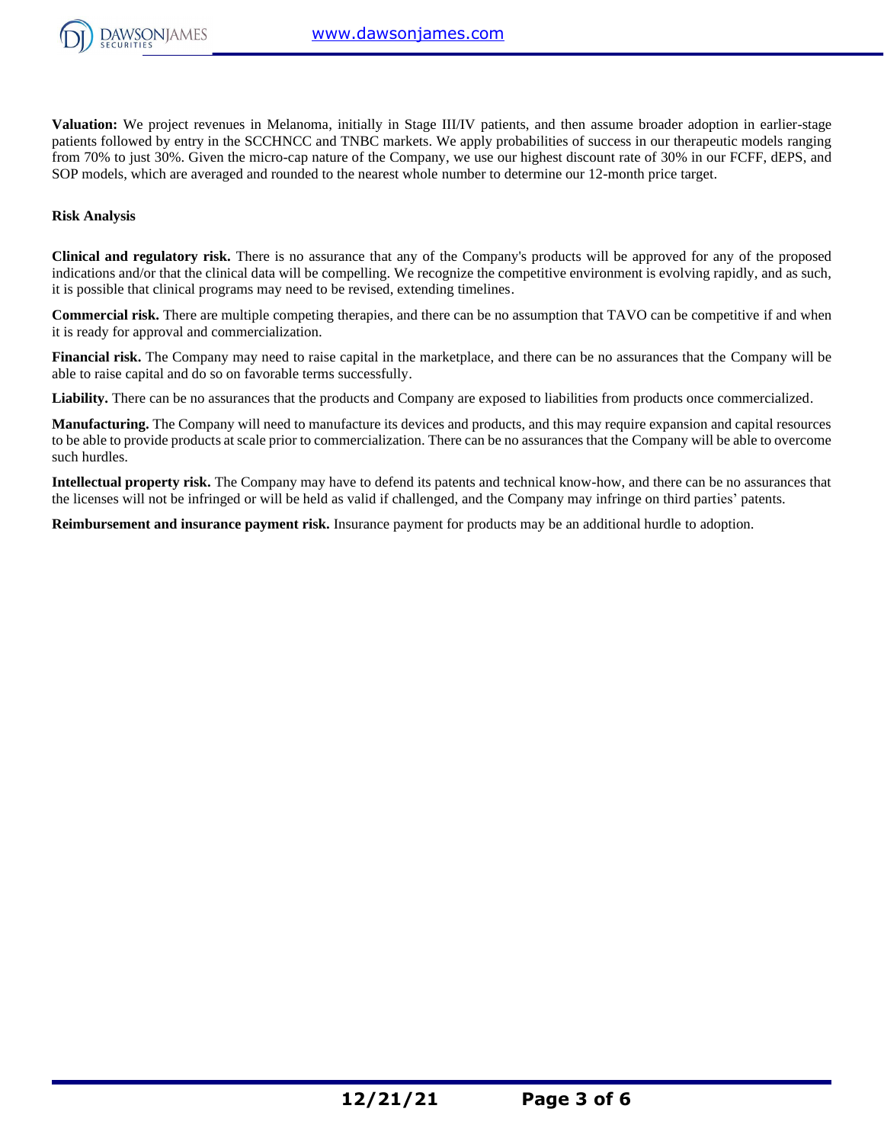

**Valuation:** We project revenues in Melanoma, initially in Stage III/IV patients, and then assume broader adoption in earlier-stage patients followed by entry in the SCCHNCC and TNBC markets. We apply probabilities of success in our therapeutic models ranging from 70% to just 30%. Given the micro-cap nature of the Company, we use our highest discount rate of 30% in our FCFF, dEPS, and SOP models, which are averaged and rounded to the nearest whole number to determine our 12-month price target.

#### **Risk Analysis**

**Clinical and regulatory risk.** There is no assurance that any of the Company's products will be approved for any of the proposed indications and/or that the clinical data will be compelling. We recognize the competitive environment is evolving rapidly, and as such, it is possible that clinical programs may need to be revised, extending timelines.

**Commercial risk.** There are multiple competing therapies, and there can be no assumption that TAVO can be competitive if and when it is ready for approval and commercialization.

**Financial risk.** The Company may need to raise capital in the marketplace, and there can be no assurances that the Company will be able to raise capital and do so on favorable terms successfully.

Liability. There can be no assurances that the products and Company are exposed to liabilities from products once commercialized.

**Manufacturing.** The Company will need to manufacture its devices and products, and this may require expansion and capital resources to be able to provide products at scale prior to commercialization. There can be no assurances that the Company will be able to overcome such hurdles.

**Intellectual property risk.** The Company may have to defend its patents and technical know-how, and there can be no assurances that the licenses will not be infringed or will be held as valid if challenged, and the Company may infringe on third parties' patents.

**Reimbursement and insurance payment risk.** Insurance payment for products may be an additional hurdle to adoption.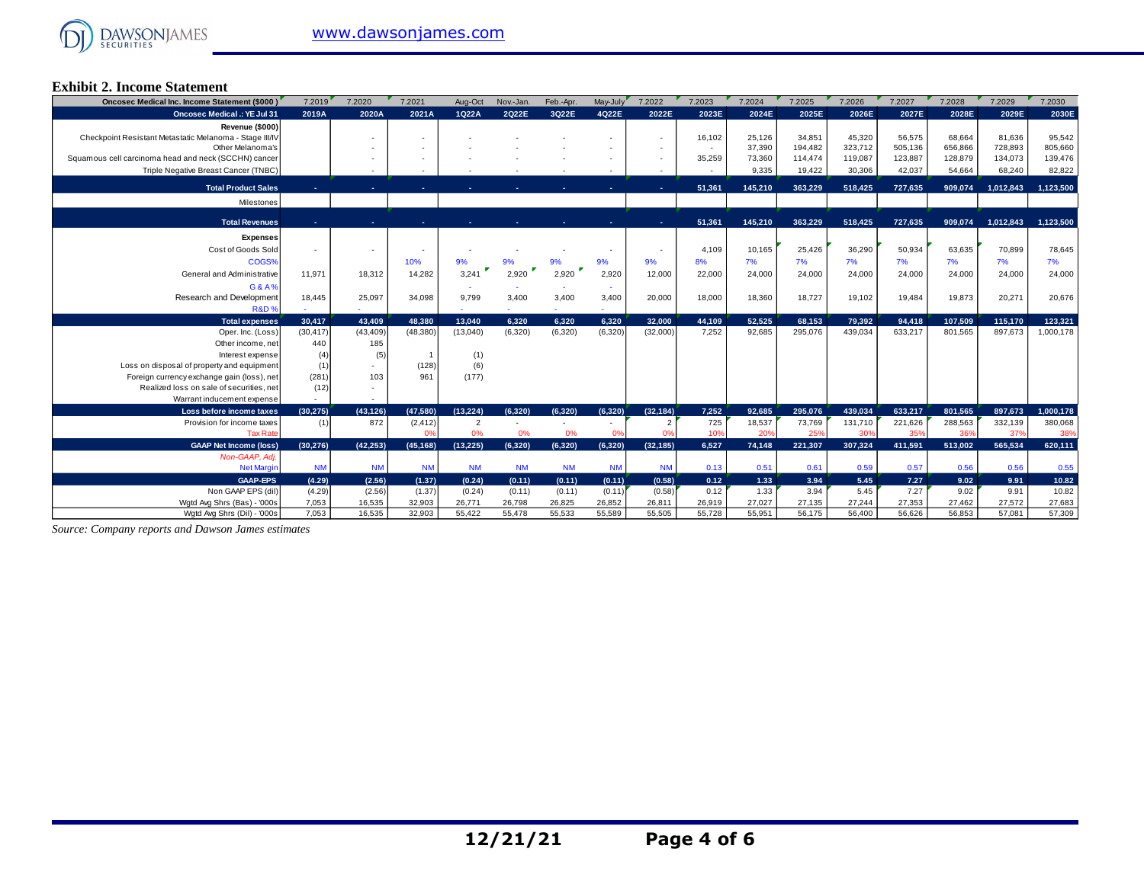

#### **Exhibit 2. Income Statement**

| Oncosec Medical Inc. Income Statement (\$000)           | 7.2019           | 7.2020           | 7.2021           | Aug-Oct          | Nov.-Jan.        | Feb.-Apr.        | May-July         | 7.2022           | 7.2023       | 7.2024       | 7.2025       | 7.2026       | 7.2027       | 7.2028       | 7.2029       | 7.2030         |
|---------------------------------------------------------|------------------|------------------|------------------|------------------|------------------|------------------|------------------|------------------|--------------|--------------|--------------|--------------|--------------|--------------|--------------|----------------|
| <b>Oncosec Medical .: YE Jul 31</b>                     | 2019A            | 2020A            | 2021A            | 1Q22A            | 2022E            | 3022E            | 4Q22E            | 2022E            | 2023E        | 2024E        | 2025E        | 2026E        | 2027E        | 2028E        | 2029E        | 2030E          |
| Revenue (\$000)                                         |                  |                  |                  |                  |                  |                  |                  |                  |              |              |              |              |              |              |              |                |
| Checkpoint Resistant Metastatic Melanoma - Stage III/IV |                  |                  |                  |                  |                  |                  |                  | $\sim$           | 16,102       | 25,126       | 34,851       | 45,320       | 56,575       | 68.664       | 81,636       | 95,542         |
| Other Melanoma's                                        |                  |                  |                  |                  |                  |                  |                  |                  | $\sim$       | 37,390       | 194.482      | 323.712      | 505.136      | 656,866      | 728,893      | 805,660        |
| Squamous cell carcinoma head and neck (SCCHN) cancer    |                  |                  |                  |                  |                  |                  |                  |                  | 35,259       | 73,360       | 114.474      | 119.087      | 123,887      | 128,879      | 134,073      | 139,476        |
| Triple Negative Breast Cancer (TNBC)                    |                  |                  |                  |                  |                  |                  |                  |                  |              | 9,335        | 19,422       | 30,306       | 42,037       | 54,664       | 68,240       | 82,822         |
| <b>Total Product Sales</b>                              |                  |                  |                  |                  |                  |                  |                  |                  | 51,361       | 145,210      | 363.229      | 518,425      | 727.635      | 909,074      | 1,012,843    | 1,123,500      |
| Milestones                                              |                  |                  |                  |                  |                  |                  |                  |                  |              |              |              |              |              |              |              |                |
|                                                         |                  |                  |                  |                  |                  |                  |                  |                  |              |              |              |              |              |              |              |                |
| <b>Total Revenues</b>                                   |                  |                  |                  |                  |                  |                  |                  |                  | 51.361       | 145.210      | 363.229      | 518.425      | 727.635      | 909.074      | 1.012.843    | 1.123.500      |
| <b>Expenses</b>                                         |                  |                  |                  |                  |                  |                  |                  |                  |              |              |              |              |              |              |              |                |
| Cost of Goods Sold                                      |                  |                  |                  |                  |                  |                  |                  |                  | 4,109        | 10,165       | 25,426       | 36,290       | 50,934       | 63,635       | 70,899       | 78,645         |
| COGS%                                                   |                  |                  | 10%              | 9%               |                  | 9%               | 9%               | 9%               | 8%           | 7%           | 7%           | 7%           | 7%           | 7%           | 7%           | 7%             |
| General and Administrative                              | 11.971           | 18,312           | 14,282           | 3,241            | 2,920            | 2,920            | 2,920            | 12,000           | 22,000       | 24,000       | 24,000       | 24,000       | 24,000       | 24,000       | 24,000       | 24,000         |
| G&A%                                                    |                  |                  |                  |                  |                  |                  |                  |                  |              |              |              |              |              |              |              |                |
| Research and Development                                | 18,445           | 25,097           | 34,098           | 9,799            | 3,400            | 3,400            | 3,400            | 20,000           | 18,000       | 18,360       | 18,727       | 19,102       | 19,484       | 19,873       | 20,271       | 20,676         |
| <b>R&amp;D%</b>                                         |                  |                  |                  |                  |                  |                  |                  |                  |              |              |              |              |              |              |              |                |
| <b>Total expenses</b>                                   | 30.417           | 43.409           | 48.380           | 13.040           | 6.320            | 6.320            | 6.320            | 32.000           | 44,109       | 52.525       | 68,153       | 79.392       | 94,418       | 107,509      | 115,170      | 123,321        |
| Oper. Inc. (Loss)                                       | (30, 417)        | (43, 409)        | (48, 380)        | (13,040)         | (6,320)          | (6,320)          | (6, 320)         | (32,000)         | 7,252        | 92,685       | 295.076      | 439.034      | 633,217      | 801,565      | 897,673      | 1,000,178      |
| Other income, net                                       | 440              | 185              |                  |                  |                  |                  |                  |                  |              |              |              |              |              |              |              |                |
| Interest expense                                        | (4)              | (5)              |                  | (1)              |                  |                  |                  |                  |              |              |              |              |              |              |              |                |
| Loss on disposal of property and equipment              | (1)              |                  | (128)            | (6)              |                  |                  |                  |                  |              |              |              |              |              |              |              |                |
| Foreign currency exchange gain (loss), net              | (281)            | 103              | 961              | (177)            |                  |                  |                  |                  |              |              |              |              |              |              |              |                |
| Realized loss on sale of securities, net                | (12)             |                  |                  |                  |                  |                  |                  |                  |              |              |              |              |              |              |              |                |
| Warrant inducement expense                              |                  |                  |                  |                  |                  |                  |                  |                  |              |              |              |              |              |              |              |                |
| Loss before income taxes                                | (30.275)         | (43, 126)        | (47,580)         | (13.224)         | (6.320)          | (6.320)          | (6,320)          | (32, 184)        | 7,252        | 92.685       | 295,076      | 439.034      | 633,217      | 801,565      | 897,673      | 1,000,178      |
| Provision for income taxes                              | (1)              | 872              | (2, 412)         | $\overline{2}$   |                  |                  |                  |                  | 725          | 18,537       | 73.769       | 131,710      | 221,626      | 288,563      | 332,139      | 380,068        |
| <b>Tax Rate</b>                                         |                  |                  | 0%               | 0%               | 0%               | 0%               | 0%               | 0%               | 10%          | 20%          | 25%          | 30%          | 35%          | 36%          | 37%          | 38%            |
| <b>GAAP Net Income (loss)</b>                           | (30.276)         | (42.253)         | (45, 168)        | (13.225)         | (6.320)          | (6.320)          | (6.320)          | (32, 185)        | 6.527        | 74.148       | 221.307      | 307.324      | 411.591      | 513.002      | 565.534      | 620,111        |
| Non-GAAP, Adj.<br><b>Net Margin</b>                     |                  | <b>NM</b>        | <b>NM</b>        | <b>NM</b>        | <b>NM</b>        | <b>NM</b>        |                  | <b>NM</b>        |              | 0.51         | 0.61         | 0.59         | 0.57         |              | 0.56         |                |
|                                                         | <b>NM</b>        |                  |                  |                  |                  |                  | <b>NM</b>        |                  | 0.13         |              |              |              |              | 0.56         |              | 0.55           |
| <b>GAAP-EPS</b><br>Non GAAP EPS (dil)                   | (4.29)<br>(4.29) | (2.56)<br>(2.56) | (1.37)<br>(1.37) | (0.24)<br>(0.24) | (0.11)<br>(0.11) | (0.11)<br>(0.11) | (0.11)<br>(0.11) | (0.58)<br>(0.58) | 0.12<br>0.12 | 1.33<br>1.33 | 3.94<br>3.94 | 5.45<br>5.45 | 7.27<br>7.27 | 9.02<br>9.02 | 9.91<br>9.91 | 10.82<br>10.82 |
|                                                         |                  |                  |                  |                  |                  |                  |                  |                  |              |              |              |              |              |              |              |                |
| Wgtd Avg Shrs (Bas) - '000s                             | 7,053            | 16,535           | 32,903           | 26,771           | 26,798           | 26,825           | 26,852           | 26,811           | 26,919       | 27,027       | 27,135       | 27.244       | 27.353       | 27.462       | 27,572       | 27,683         |

*Source: Company reports and Dawson James estimates*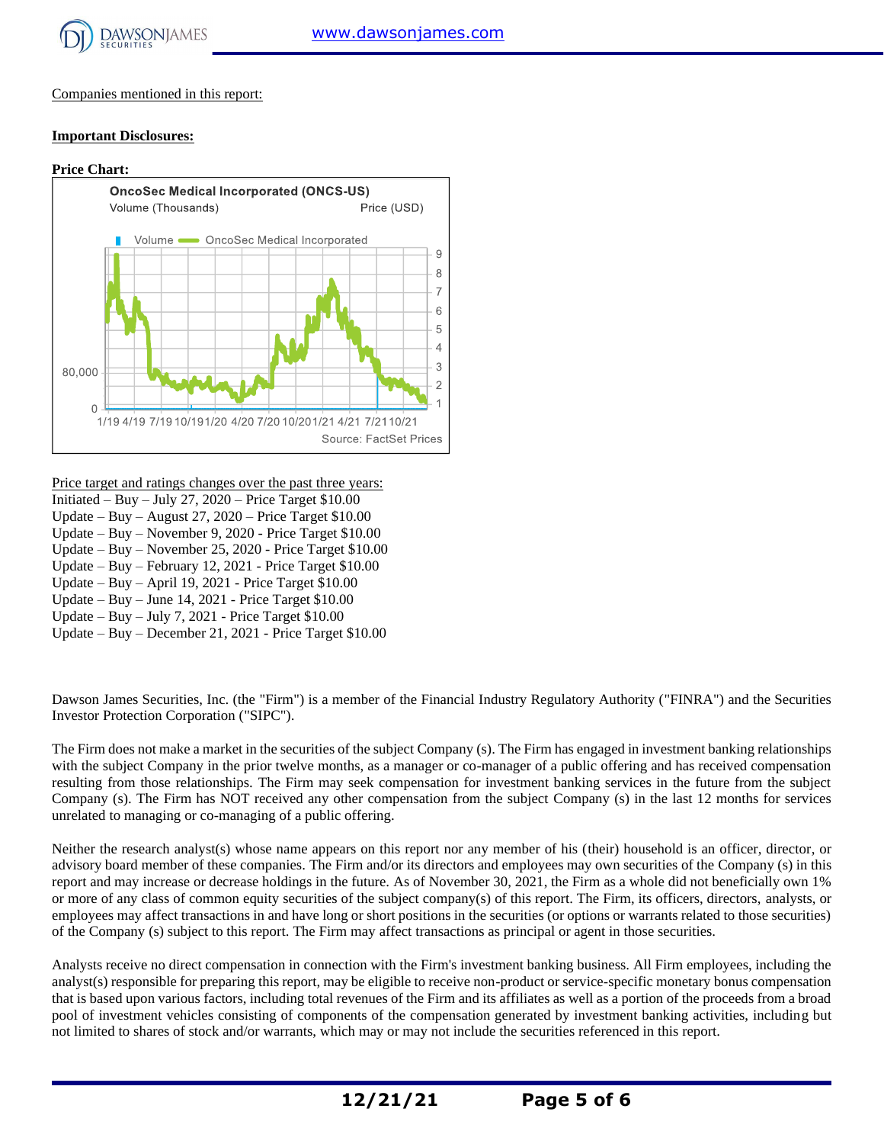

Companies mentioned in this report:

#### **Important Disclosures:**

#### **Price Chart: OncoSec Medical Incorporated (ONCS-US)** Volume (Thousands) Price (USD) Volume <a>>
OncoSec Medical Incorporated  $\overline{9}$ 8  $\overline{7}$ 6 5  $\overline{4}$ 3 80,000  $\overline{c}$  $\Omega$ 1/19 4/19 7/19 10/191/20 4/20 7/20 10/201/21 4/21 7/21 10/21 Source: FactSet Prices

Price target and ratings changes over the past three years:

- Initiated Buy July 27,  $2020$  Price Target \$10.00
- Update Buy August 27, 2020 Price Target \$10.00 Update – Buy – November 9, 2020 - Price Target \$10.00
- Update Buy November 25, 2020 Price Target \$10.00
- Update Buy February 12, 2021 Price Target \$10.00
- Update Buy April 19, 2021 Price Target \$10.00
- Update Buy June 14, 2021 Price Target \$10.00
- Update Buy July 7, 2021 Price Target \$10.00
- Update Buy December 21, 2021 Price Target \$10.00

Dawson James Securities, Inc. (the "Firm") is a member of the Financial Industry Regulatory Authority ("FINRA") and the Securities Investor Protection Corporation ("SIPC").

The Firm does not make a market in the securities of the subject Company (s). The Firm has engaged in investment banking relationships with the subject Company in the prior twelve months, as a manager or co-manager of a public offering and has received compensation resulting from those relationships. The Firm may seek compensation for investment banking services in the future from the subject Company (s). The Firm has NOT received any other compensation from the subject Company (s) in the last 12 months for services unrelated to managing or co-managing of a public offering.

Neither the research analyst(s) whose name appears on this report nor any member of his (their) household is an officer, director, or advisory board member of these companies. The Firm and/or its directors and employees may own securities of the Company (s) in this report and may increase or decrease holdings in the future. As of November 30, 2021, the Firm as a whole did not beneficially own 1% or more of any class of common equity securities of the subject company(s) of this report. The Firm, its officers, directors, analysts, or employees may affect transactions in and have long or short positions in the securities (or options or warrants related to those securities) of the Company (s) subject to this report. The Firm may affect transactions as principal or agent in those securities.

Analysts receive no direct compensation in connection with the Firm's investment banking business. All Firm employees, including the analyst(s) responsible for preparing this report, may be eligible to receive non-product or service-specific monetary bonus compensation that is based upon various factors, including total revenues of the Firm and its affiliates as well as a portion of the proceeds from a broad pool of investment vehicles consisting of components of the compensation generated by investment banking activities, including but not limited to shares of stock and/or warrants, which may or may not include the securities referenced in this report.